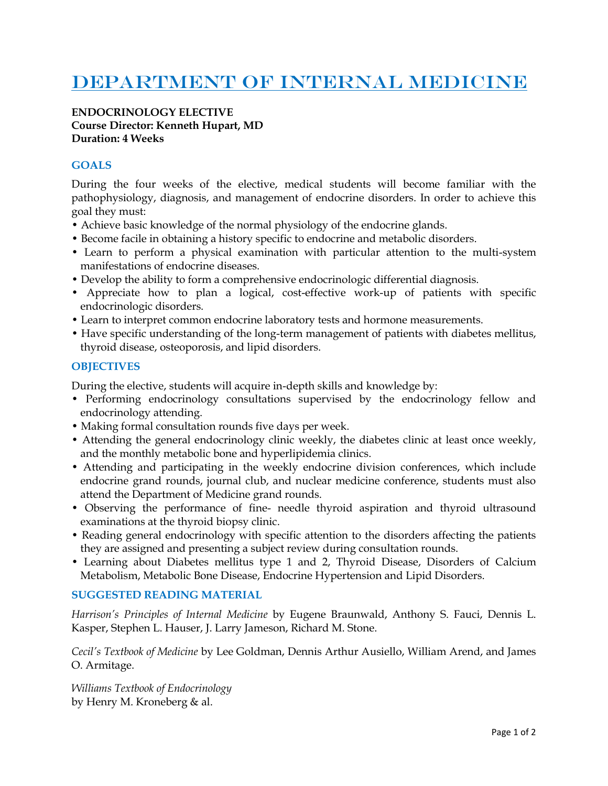# DEPARTMENT OF INTERNAL MEDICINE

#### **ENDOCRINOLOGY ELECTIVE Course Director: Kenneth Hupart, MD Duration: 4 Weeks**

## **GOALS**

During the four weeks of the elective, medical students will become familiar with the pathophysiology, diagnosis, and management of endocrine disorders. In order to achieve this goal they must:

- Achieve basic knowledge of the normal physiology of the endocrine glands.
- Become facile in obtaining a history specific to endocrine and metabolic disorders.
- Learn to perform a physical examination with particular attention to the multi-system manifestations of endocrine diseases.
- Develop the ability to form a comprehensive endocrinologic differential diagnosis.
- Appreciate how to plan a logical, cost-effective work-up of patients with specific endocrinologic disorders.
- Learn to interpret common endocrine laboratory tests and hormone measurements.
- Have specific understanding of the long-term management of patients with diabetes mellitus, thyroid disease, osteoporosis, and lipid disorders.

### **OBJECTIVES**

During the elective, students will acquire in-depth skills and knowledge by:

- Performing endocrinology consultations supervised by the endocrinology fellow and endocrinology attending.
- Making formal consultation rounds five days per week.
- Attending the general endocrinology clinic weekly, the diabetes clinic at least once weekly, and the monthly metabolic bone and hyperlipidemia clinics.
- Attending and participating in the weekly endocrine division conferences, which include endocrine grand rounds, journal club, and nuclear medicine conference, students must also attend the Department of Medicine grand rounds.
- Observing the performance of fine- needle thyroid aspiration and thyroid ultrasound examinations at the thyroid biopsy clinic.
- Reading general endocrinology with specific attention to the disorders affecting the patients they are assigned and presenting a subject review during consultation rounds.
- Learning about Diabetes mellitus type 1 and 2, Thyroid Disease, Disorders of Calcium Metabolism, Metabolic Bone Disease, Endocrine Hypertension and Lipid Disorders.

#### **SUGGESTED READING MATERIAL**

*Harrison's Principles of Internal Medicine* by Eugene Braunwald, Anthony S. Fauci, Dennis L. Kasper, Stephen L. Hauser, J. Larry Jameson, Richard M. Stone.

*Cecil's Textbook of Medicine* by Lee Goldman, Dennis Arthur Ausiello, William Arend, and James O. Armitage.

*Williams Textbook of Endocrinology*  by Henry M. Kroneberg & al.